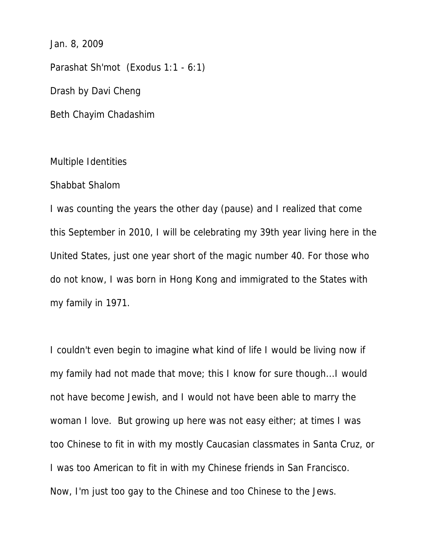Jan. 8, 2009

Parashat Sh'mot (Exodus 1:1 - 6:1) Drash by Davi Cheng Beth Chayim Chadashim

## Multiple Identities

## Shabbat Shalom

I was counting the years the other day (pause) and I realized that come this September in 2010, I will be celebrating my 39th year living here in the United States, just one year short of the magic number 40. For those who do not know, I was born in Hong Kong and immigrated to the States with my family in 1971.

I couldn't even begin to imagine what kind of life I would be living now if my family had not made that move; this I know for sure though...I would not have become Jewish, and I would not have been able to marry the woman I love. But growing up here was not easy either; at times I was too Chinese to fit in with my mostly Caucasian classmates in Santa Cruz, or I was too American to fit in with my Chinese friends in San Francisco. Now, I'm just too gay to the Chinese and too Chinese to the Jews.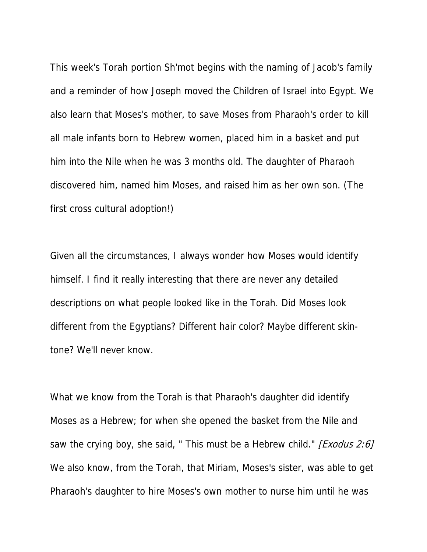This week's Torah portion Sh'mot begins with the naming of Jacob's family and a reminder of how Joseph moved the Children of Israel into Egypt. We also learn that Moses's mother, to save Moses from Pharaoh's order to kill all male infants born to Hebrew women, placed him in a basket and put him into the Nile when he was 3 months old. The daughter of Pharaoh discovered him, named him Moses, and raised him as her own son. (The first cross cultural adoption!)

Given all the circumstances, I always wonder how Moses would identify himself. I find it really interesting that there are never any detailed descriptions on what people looked like in the Torah. Did Moses look different from the Egyptians? Different hair color? Maybe different skintone? We'll never know.

What we know from the Torah is that Pharaoh's daughter did identify Moses as a Hebrew; for when she opened the basket from the Nile and saw the crying boy, she said, " This must be a Hebrew child." [Exodus 2:6] We also know, from the Torah, that Miriam, Moses's sister, was able to get Pharaoh's daughter to hire Moses's own mother to nurse him until he was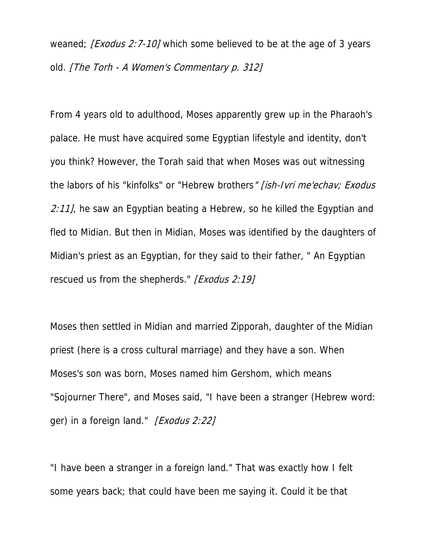weaned; [Exodus 2:7-10] which some believed to be at the age of 3 years old. [The Torh - A Women's Commentary p. 312]

From 4 years old to adulthood, Moses apparently grew up in the Pharaoh's palace. He must have acquired some Egyptian lifestyle and identity, don't you think? However, the Torah said that when Moses was out witnessing the labors of his "kinfolks" or "Hebrew brothers" [ish-Ivri me'echav; Exodus 2:11], he saw an Egyptian beating a Hebrew, so he killed the Egyptian and fled to Midian. But then in Midian, Moses was identified by the daughters of Midian's priest as an Egyptian, for they said to their father, " An Egyptian rescued us from the shepherds." [Exodus 2:19]

Moses then settled in Midian and married Zipporah, daughter of the Midian priest (here is a cross cultural marriage) and they have a son. When Moses's son was born, Moses named him Gershom, which means "Sojourner There", and Moses said, "I have been a stranger (Hebrew word: ger) in a foreign land." [Exodus 2:22]

"I have been a stranger in a foreign land." That was exactly how I felt some years back; that could have been me saying it. Could it be that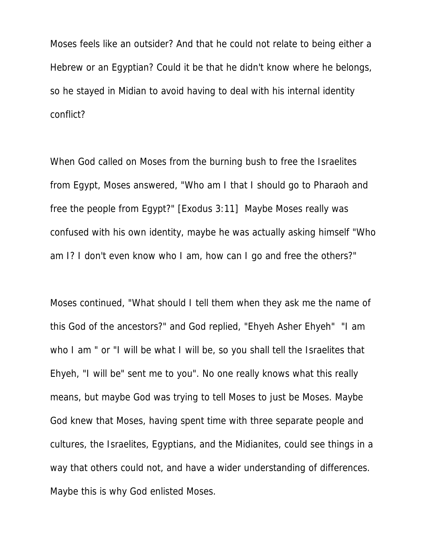Moses feels like an outsider? And that he could not relate to being either a Hebrew or an Egyptian? Could it be that he didn't know where he belongs, so he stayed in Midian to avoid having to deal with his internal identity conflict?

When God called on Moses from the burning bush to free the Israelites from Egypt, Moses answered, "Who am I that I should go to Pharaoh and free the people from Egypt?" [Exodus 3:11] Maybe Moses really was confused with his own identity, maybe he was actually asking himself "Who am I? I don't even know who I am, how can I go and free the others?"

Moses continued, "What should I tell them when they ask me the name of this God of the ancestors?" and God replied, "Ehyeh Asher Ehyeh" "I am who I am " or "I will be what I will be, so you shall tell the Israelites that Ehyeh, "I will be" sent me to you". No one really knows what this really means, but maybe God was trying to tell Moses to just be Moses. Maybe God knew that Moses, having spent time with three separate people and cultures, the Israelites, Egyptians, and the Midianites, could see things in a way that others could not, and have a wider understanding of differences. Maybe this is why God enlisted Moses.